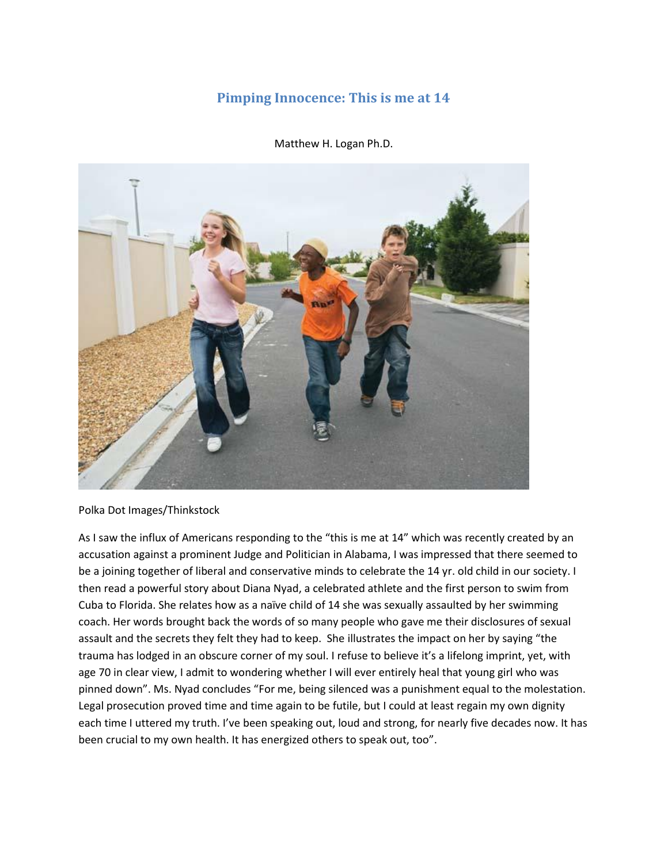## **Pimping Innocence: This is me at 14**

Matthew H. Logan Ph.D.



Polka Dot Images/Thinkstock

As I saw the influx of Americans responding to the "this is me at 14" which was recently created by an accusation against a prominent Judge and Politician in Alabama, I was impressed that there seemed to be a joining together of liberal and conservative minds to celebrate the 14 yr. old child in our society. I then read a powerful story about Diana Nyad, a celebrated athlete and the first person to swim from Cuba to Florida. She relates how as a naïve child of 14 she was sexually assaulted by her swimming coach. Her words brought back the words of so many people who gave me their disclosures of sexual assault and the secrets they felt they had to keep. She illustrates the impact on her by saying "the trauma has lodged in an obscure corner of my soul. I refuse to believe it's a lifelong imprint, yet, with age 70 in clear view, I admit to wondering whether I will ever entirely heal that young girl who was pinned down". Ms. Nyad concludes "For me, being silenced was a punishment equal to the molestation. Legal prosecution proved time and time again to be futile, but I could at least regain my own dignity each time I uttered my truth. I've been speaking out, loud and strong, for nearly five decades now. It has been crucial to my own health. It has energized others to speak out, too".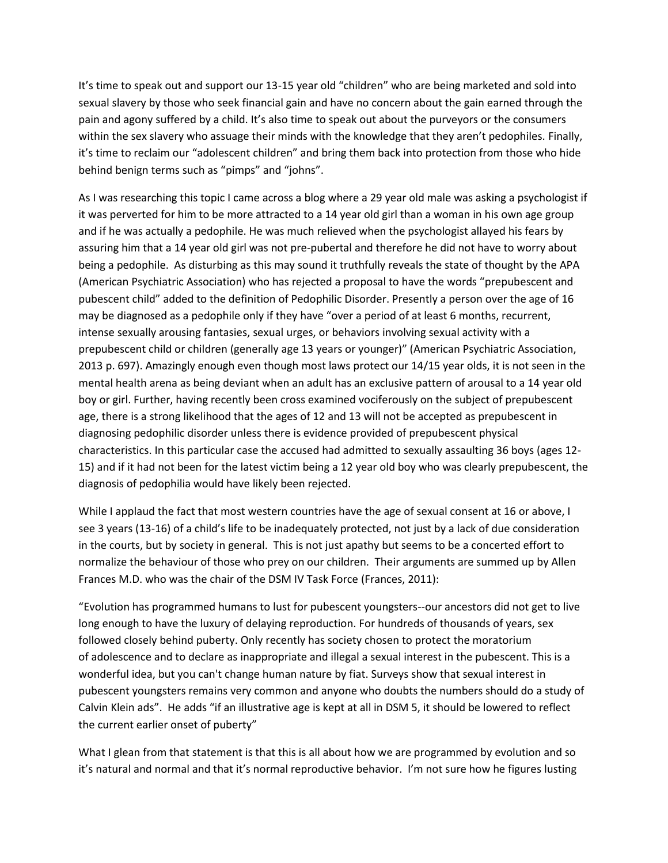It's time to speak out and support our 13-15 year old "children" who are being marketed and sold into sexual slavery by those who seek financial gain and have no concern about the gain earned through the pain and agony suffered by a child. It's also time to speak out about the purveyors or the consumers within the sex slavery who assuage their minds with the knowledge that they aren't pedophiles. Finally, it's time to reclaim our "adolescent children" and bring them back into protection from those who hide behind benign terms such as "pimps" and "johns".

As I was researching this topic I came across a blog where a 29 year old male was asking a psychologist if it was perverted for him to be more attracted to a 14 year old girl than a woman in his own age group and if he was actually a pedophile. He was much relieved when the psychologist allayed his fears by assuring him that a 14 year old girl was not pre-pubertal and therefore he did not have to worry about being a pedophile. As disturbing as this may sound it truthfully reveals the state of thought by the APA (American Psychiatric Association) who has rejected a proposal to have the words "prepubescent and pubescent child" added to the definition of Pedophilic Disorder. Presently a person over the age of 16 may be diagnosed as a pedophile only if they have "over a period of at least 6 months, recurrent, intense sexually arousing fantasies, sexual urges, or behaviors involving sexual activity with a prepubescent child or children (generally age 13 years or younger)" (American Psychiatric Association, 2013 p. 697). Amazingly enough even though most laws protect our 14/15 year olds, it is not seen in the mental health arena as being deviant when an adult has an exclusive pattern of arousal to a 14 year old boy or girl. Further, having recently been cross examined vociferously on the subject of prepubescent age, there is a strong likelihood that the ages of 12 and 13 will not be accepted as prepubescent in diagnosing pedophilic disorder unless there is evidence provided of prepubescent physical characteristics. In this particular case the accused had admitted to sexually assaulting 36 boys (ages 12- 15) and if it had not been for the latest victim being a 12 year old boy who was clearly prepubescent, the diagnosis of pedophilia would have likely been rejected.

While I applaud the fact that most western countries have the age of sexual consent at 16 or above, I see 3 years (13-16) of a child's life to be inadequately protected, not just by a lack of due consideration in the courts, but by society in general. This is not just apathy but seems to be a concerted effort to normalize the behaviour of those who prey on our children. Their arguments are summed up by Allen Frances M.D. who was the chair of the DSM IV Task Force (Frances, 2011):

"Evolution has programmed humans to lust for pubescent youngsters--our ancestors did not get to live long enough to have the luxury of delaying reproduction. For hundreds of thousands of years, sex followed closely behind puberty. Only recently has society chosen to protect the moratorium of adolescence and to declare as inappropriate and illegal a sexual interest in the pubescent. This is a wonderful idea, but you can't change human nature by fiat. Surveys show that sexual interest in pubescent youngsters remains very common and anyone who doubts the numbers should do a study of Calvin Klein ads". He adds "if an illustrative age is kept at all in DSM 5, it should be lowered to reflect the current earlier onset of puberty"

What I glean from that statement is that this is all about how we are programmed by evolution and so it's natural and normal and that it's normal reproductive behavior. I'm not sure how he figures lusting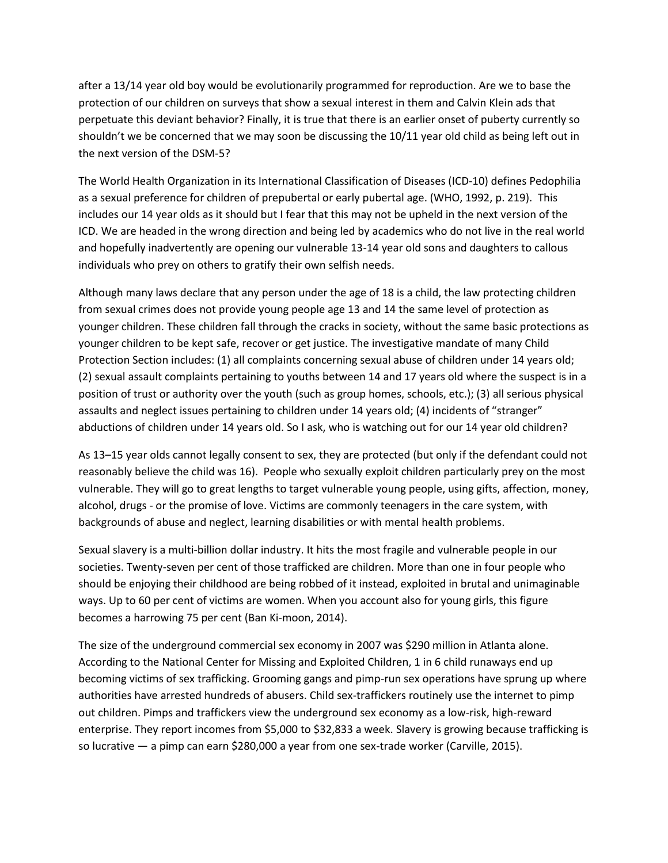after a 13/14 year old boy would be evolutionarily programmed for reproduction. Are we to base the protection of our children on surveys that show a sexual interest in them and Calvin Klein ads that perpetuate this deviant behavior? Finally, it is true that there is an earlier onset of puberty currently so shouldn't we be concerned that we may soon be discussing the 10/11 year old child as being left out in the next version of the DSM-5?

The World Health Organization in its International Classification of Diseases (ICD-10) defines Pedophilia as a sexual preference for children of prepubertal or early pubertal age. (WHO, 1992, p. 219). This includes our 14 year olds as it should but I fear that this may not be upheld in the next version of the ICD. We are headed in the wrong direction and being led by academics who do not live in the real world and hopefully inadvertently are opening our vulnerable 13-14 year old sons and daughters to callous individuals who prey on others to gratify their own selfish needs.

Although many laws declare that any person under the age of 18 is a child, the law protecting children from sexual crimes does not provide young people age 13 and 14 the same level of protection as younger children. These children fall through the cracks in society, without the same basic protections as younger children to be kept safe, recover or get justice. The investigative mandate of many Child Protection Section includes: (1) all complaints concerning sexual abuse of children under 14 years old; (2) sexual assault complaints pertaining to youths between 14 and 17 years old where the suspect is in a position of trust or authority over the youth (such as group homes, schools, etc.); (3) all serious physical assaults and neglect issues pertaining to children under 14 years old; (4) incidents of "stranger" abductions of children under 14 years old. So I ask, who is watching out for our 14 year old children?

As 13–15 year olds cannot legally consent to sex, they are protected (but only if the defendant could not reasonably believe the child was 16). People who sexually exploit children particularly prey on the most vulnerable. They will go to great lengths to target vulnerable young people, using gifts, affection, money, alcohol, drugs - or the promise of love. Victims are commonly teenagers in the care system, with backgrounds of abuse and neglect, learning disabilities or with mental health problems.

Sexual slavery is a multi-billion dollar industry. It hits the most fragile and vulnerable people in our societies. Twenty-seven per cent of those trafficked are children. More than one in four people who should be enjoying their childhood are being robbed of it instead, exploited in brutal and unimaginable ways. Up to 60 per cent of victims are women. When you account also for young girls, this figure becomes a harrowing 75 per cent (Ban Ki-moon, 2014).

The size of the underground commercial sex economy in 2007 was \$290 million in Atlanta alone. According to the National Center for Missing and Exploited Children, 1 in 6 child runaways end up becoming victims of sex trafficking. Grooming gangs and pimp-run sex operations have sprung up where authorities have arrested hundreds of abusers. Child sex-traffickers routinely use the internet to pimp out children. Pimps and traffickers view the underground sex economy as a low-risk, high-reward enterprise. They report incomes from \$5,000 to \$32,833 a week. Slavery is growing because trafficking is so lucrative — a pimp can earn \$280,000 a year from one sex-trade worker (Carville, 2015).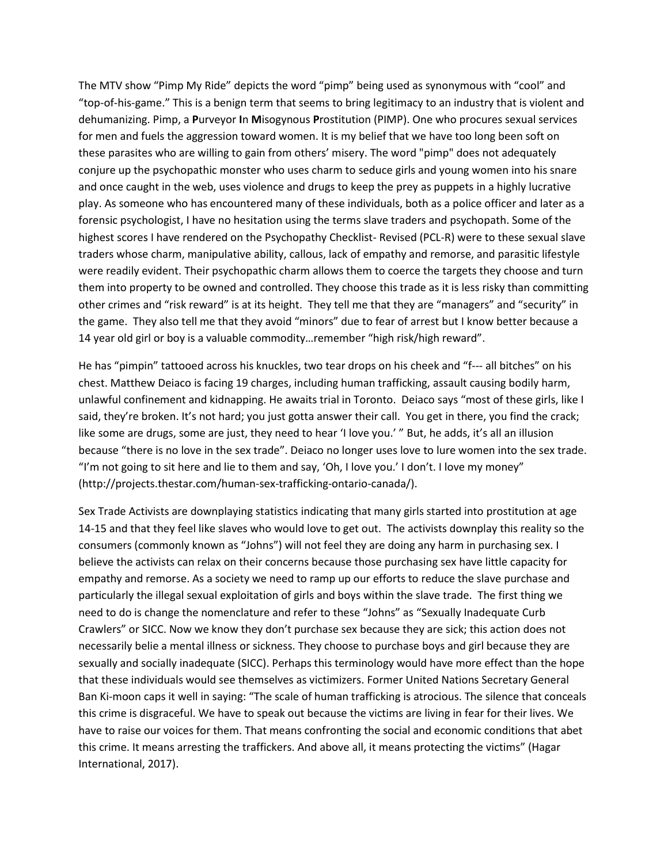The MTV show "Pimp My Ride" depicts the word "pimp" being used as synonymous with "cool" and "top-of-his-game." This is a benign term that seems to bring legitimacy to an industry that is violent and dehumanizing. Pimp, a **P**urveyor **I**n **M**isogynous **P**rostitution (PIMP). One who procures sexual services for men and fuels the aggression toward women. It is my belief that we have too long been soft on these parasites who are willing to gain from others' misery. The word "pimp" does not adequately conjure up the psychopathic monster who uses charm to seduce girls and young women into his snare and once caught in the web, uses violence and drugs to keep the prey as puppets in a highly lucrative play. As someone who has encountered many of these individuals, both as a police officer and later as a forensic psychologist, I have no hesitation using the terms slave traders and psychopath. Some of the highest scores I have rendered on the Psychopathy Checklist- Revised (PCL-R) were to these sexual slave traders whose charm, manipulative ability, callous, lack of empathy and remorse, and parasitic lifestyle were readily evident. Their psychopathic charm allows them to coerce the targets they choose and turn them into property to be owned and controlled. They choose this trade as it is less risky than committing other crimes and "risk reward" is at its height. They tell me that they are "managers" and "security" in the game. They also tell me that they avoid "minors" due to fear of arrest but I know better because a 14 year old girl or boy is a valuable commodity…remember "high risk/high reward".

He has "pimpin" tattooed across his knuckles, two tear drops on his cheek and "f--- all bitches" on his chest. Matthew Deiaco is facing 19 charges, including human trafficking, assault causing bodily harm, unlawful confinement and kidnapping. He awaits trial in Toronto. Deiaco says "most of these girls, like I said, they're broken. It's not hard; you just gotta answer their call. You get in there, you find the crack; like some are drugs, some are just, they need to hear 'I love you.' " But, he adds, it's all an illusion because "there is no love in the sex trade". Deiaco no longer uses love to lure women into the sex trade. "I'm not going to sit here and lie to them and say, 'Oh, I love you.' I don't. I love my money" (http://projects.thestar.com/human-sex-trafficking-ontario-canada/).

Sex Trade Activists are downplaying statistics indicating that many girls started into prostitution at age 14-15 and that they feel like slaves who would love to get out. The activists downplay this reality so the consumers (commonly known as "Johns") will not feel they are doing any harm in purchasing sex. I believe the activists can relax on their concerns because those purchasing sex have little capacity for empathy and remorse. As a society we need to ramp up our efforts to reduce the slave purchase and particularly the illegal sexual exploitation of girls and boys within the slave trade. The first thing we need to do is change the nomenclature and refer to these "Johns" as "Sexually Inadequate Curb Crawlers" or SICC. Now we know they don't purchase sex because they are sick; this action does not necessarily belie a mental illness or sickness. They choose to purchase boys and girl because they are sexually and socially inadequate (SICC). Perhaps this terminology would have more effect than the hope that these individuals would see themselves as victimizers. Former United Nations Secretary General Ban Ki-moon caps it well in saying: "The scale of human trafficking is atrocious. The silence that conceals this crime is disgraceful. We have to speak out because the victims are living in fear for their lives. We have to raise our voices for them. That means confronting the social and economic conditions that abet this crime. It means arresting the traffickers. And above all, it means protecting the victims" (Hagar International, 2017).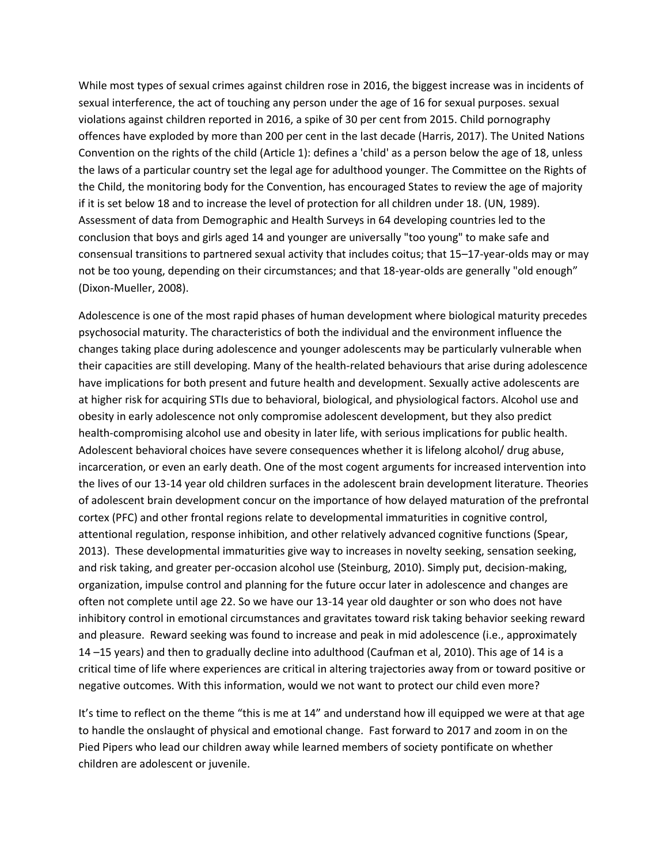While most types of sexual crimes against children rose in 2016, the biggest increase was in incidents of sexual interference, the act of touching any person under the age of 16 for sexual purposes. sexual violations against children reported in 2016, a spike of 30 per cent from 2015. Child pornography offences have exploded by more than 200 per cent in the last decade (Harris, 2017). The United Nations Convention on the rights of the child (Article 1): defines a 'child' as a person below the age of 18, unless the laws of a particular country set the legal age for adulthood younger. The Committee on the Rights of the Child, the monitoring body for the Convention, has encouraged States to review the age of majority if it is set below 18 and to increase the level of protection for all children under 18. (UN, 1989). Assessment of data from Demographic and Health Surveys in 64 developing countries led to the conclusion that boys and girls aged 14 and younger are universally "too young" to make safe and consensual transitions to partnered sexual activity that includes coitus; that 15–17-year-olds may or may not be too young, depending on their circumstances; and that 18-year-olds are generally "old enough" (Dixon-Mueller, 2008).

Adolescence is one of the most rapid phases of human development where biological maturity precedes psychosocial maturity. The characteristics of both the individual and the environment influence the changes taking place during adolescence and younger adolescents may be particularly vulnerable when their capacities are still developing. Many of the health-related behaviours that arise during adolescence have implications for both present and future health and development. Sexually active adolescents are at higher risk for acquiring STIs due to behavioral, biological, and physiological factors. Alcohol use and obesity in early adolescence not only compromise adolescent development, but they also predict health-compromising alcohol use and obesity in later life, with serious implications for public health. Adolescent behavioral choices have severe consequences whether it is lifelong alcohol/ drug abuse, incarceration, or even an early death. One of the most cogent arguments for increased intervention into the lives of our 13-14 year old children surfaces in the adolescent brain development literature. Theories of adolescent brain development concur on the importance of how delayed maturation of the prefrontal cortex (PFC) and other frontal regions relate to developmental immaturities in cognitive control, attentional regulation, response inhibition, and other relatively advanced cognitive functions (Spear, 2013). These developmental immaturities give way to increases in novelty seeking, sensation seeking, and risk taking, and greater per-occasion alcohol use (Steinburg, 2010). Simply put, decision-making, organization, impulse control and planning for the future occur later in adolescence and changes are often not complete until age 22. So we have our 13-14 year old daughter or son who does not have inhibitory control in emotional circumstances and gravitates toward risk taking behavior seeking reward and pleasure. Reward seeking was found to increase and peak in mid adolescence (i.e., approximately 14 –15 years) and then to gradually decline into adulthood (Caufman et al, 2010). This age of 14 is a critical time of life where experiences are critical in altering trajectories away from or toward positive or negative outcomes. With this information, would we not want to protect our child even more?

It's time to reflect on the theme "this is me at 14" and understand how ill equipped we were at that age to handle the onslaught of physical and emotional change. Fast forward to 2017 and zoom in on the Pied Pipers who lead our children away while learned members of society pontificate on whether children are adolescent or juvenile.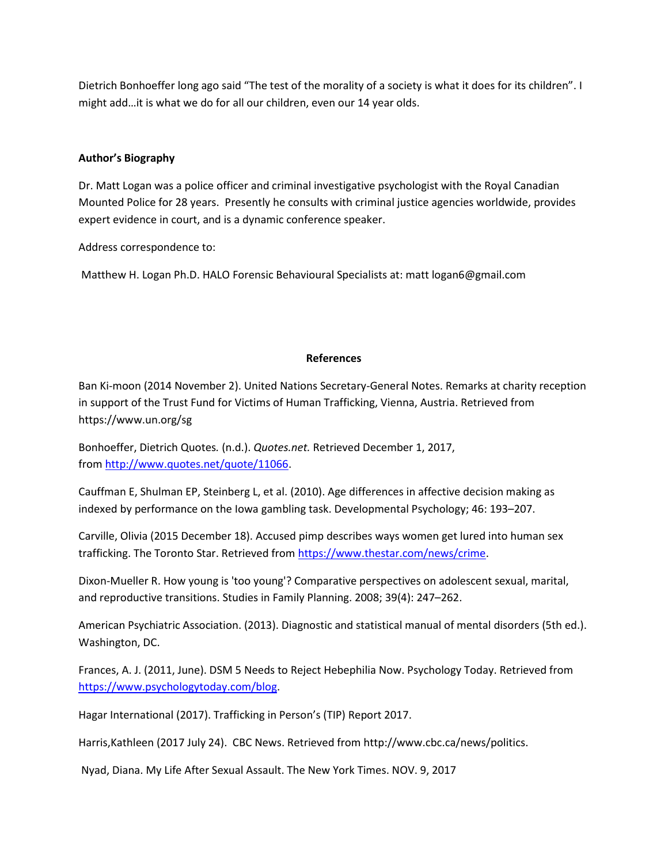Dietrich Bonhoeffer long ago said "The test of the morality of a society is what it does for its children". I might add…it is what we do for all our children, even our 14 year olds.

## **Author's Biography**

Dr. Matt Logan was a police officer and criminal investigative psychologist with the Royal Canadian Mounted Police for 28 years. Presently he consults with criminal justice agencies worldwide, provides expert evidence in court, and is a dynamic conference speaker.

Address correspondence to:

Matthew H. Logan Ph.D. HALO Forensic Behavioural Specialists at: matt logan6@gmail.com

## **References**

Ban Ki-moon (2014 November 2). United Nations Secretary-General Notes. Remarks at charity reception in support of the Trust Fund for Victims of Human Trafficking, Vienna, Austria. Retrieved from https://www.un.org/sg

Bonhoeffer, Dietrich Quotes*.* (n.d.). *Quotes.net.* Retrieved December 1, 2017, from [http://www.quotes.net/quote/11066.](http://www.quotes.net/quote/11066)

Cauffman E, Shulman EP, Steinberg L, et al. (2010). Age differences in affective decision making as indexed by performance on the Iowa gambling task. Developmental Psychology; 46: 193–207.

Carville, Olivia (2015 December 18). Accused pimp describes ways women get lured into human sex trafficking. The Toronto Star. Retrieved from [https://www.thestar.com/news/crime.](https://www.thestar.com/news/crime)

Dixon-Mueller R. How young is 'too young'? Comparative perspectives on adolescent sexual, marital, and reproductive transitions. Studies in Family Planning. 2008; 39(4): 247–262.

American Psychiatric Association. (2013). Diagnostic and statistical manual of mental disorders (5th ed.). Washington, DC.

Frances, A. J. (2011, June). DSM 5 Needs to Reject Hebephilia Now. Psychology Today. Retrieved from [https://www.psychologytoday.com/blog.](https://www.psychologytoday.com/blog)

Hagar International (2017). Trafficking in Person's (TIP) Report 2017.

Harris,Kathleen (2017 July 24). CBC News. Retrieved from http://www.cbc.ca/news/politics.

Nyad, Diana. My Life After Sexual Assault. The New York Times. NOV. 9, 2017